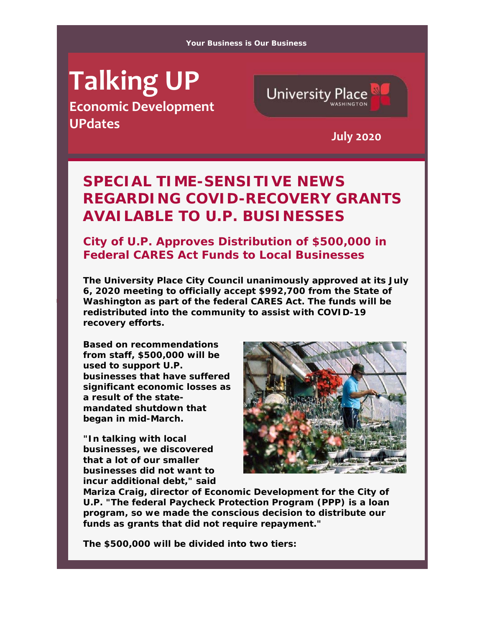#### **Your Business is Our Business**

# **Talking UP**

**Economic Development UPdates July <sup>2020</sup>**



## *SPECIAL TIME-SENSITIVE NEWS REGARDING COVID-RECOVERY GRANTS AVAILABLE TO U.P. BUSINESSES*

#### **City of U.P. Approves Distribution of \$500,000 in Federal CARES Act Funds to Local Businesses**

**The University Place City Council unanimously approved at its July 6, 2020 meeting to officially accept \$992,700 from the State of Washington as part of the federal CARES Act. The funds will be redistributed into the community to assist with COVID-19 recovery efforts.**

**Based on recommendations from staff, \$500,000 will be used to support U.P. businesses that have suffered significant economic losses as a result of the statemandated shutdown that began in mid-March.** 

**"In talking with local businesses, we discovered that a lot of our smaller businesses did not want to incur additional debt," said** 



**Mariza Craig, director of Economic Development for the City of U.P. "The federal Paycheck Protection Program (PPP) is a loan program, so we made the conscious decision to distribute our funds as grants that did not require repayment."** 

**The \$500,000 will be divided into two tiers:**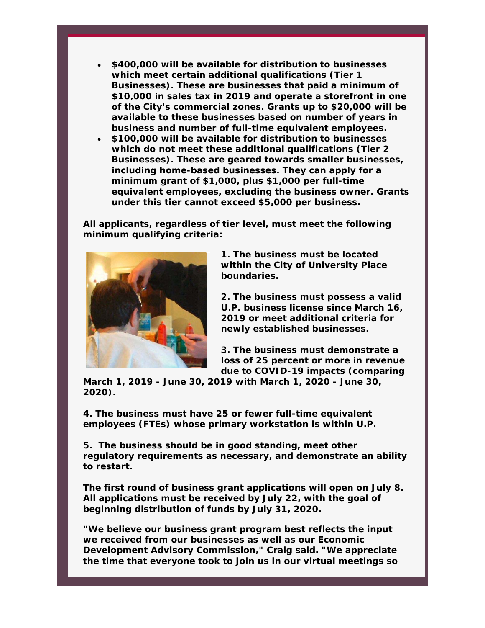- **\$400,000 will be available for distribution to businesses which meet certain additional qualifications (Tier 1 Businesses). These are businesses that paid a minimum of \$10,000 in sales tax in 2019 and operate a storefront in one of the City's commercial zones. Grants up to \$20,000 will be available to these businesses based on number of years in business and number of full-time equivalent employees.**
- **\$100,000 will be available for distribution to businesses which do not meet these additional qualifications (Tier 2 Businesses). These are geared towards smaller businesses, including home-based businesses. They can apply for a minimum grant of \$1,000, plus \$1,000 per full-time equivalent employees, excluding the business owner. Grants under this tier cannot exceed \$5,000 per business.**

**All applicants, regardless of tier level, must meet the following minimum qualifying criteria:** 



**1. The business must be located within the City of University Place boundaries.** 

**2. The business must possess a valid U.P. business license since March 16, 2019 or meet additional criteria for newly established businesses.** 

**3. The business must demonstrate a loss of 25 percent or more in revenue due to COVID-19 impacts (comparing** 

**March 1, 2019 - June 30, 2019 with March 1, 2020 - June 30, 2020).** 

**4. The business must have 25 or fewer full-time equivalent employees (FTEs) whose primary workstation is within U.P.** 

**5. The business should be in good standing, meet other regulatory requirements as necessary, and demonstrate an ability to restart.** 

**The first round of business grant applications will open on July 8. All applications must be received by July 22, with the goal of beginning distribution of funds by July 31, 2020.** 

**"We believe our business grant program best reflects the input we received from our businesses as well as our Economic Development Advisory Commission," Craig said. "We appreciate the time that everyone took to join us in our virtual meetings so**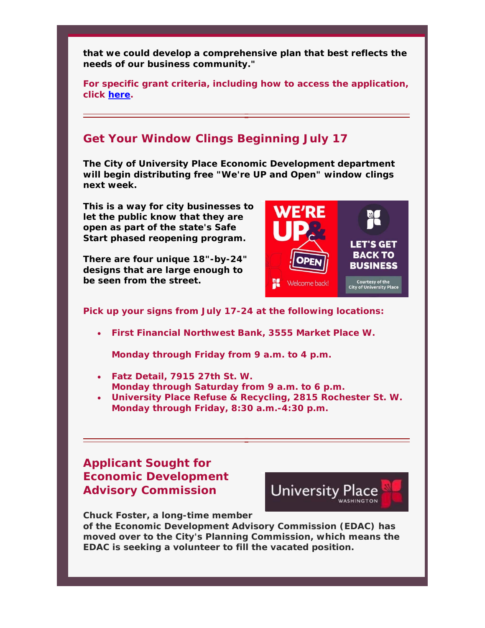**that we could develop a comprehensive plan that best reflects the needs of our business community."** 

**For specific grant criteria, including how to access the application, click here.** 

#### **Get Your Window Clings Beginning July 17**

**The City of University Place Economic Development department will begin distributing free "We're UP and Open" window clings next week.** 

**This is a way for city businesses to let the public know that they are open as part of the state's Safe Start phased reopening program.** 

**There are four unique 18"-by-24" designs that are large enough to be seen from the street.** 



**Pick up your signs from July 17-24 at the following locations:**

**First Financial Northwest Bank, 3555 Market Place W.** 

**Monday through Friday from 9 a.m. to 4 p.m.** 

- **Fatz Detail, 7915 27th St. W. Monday through Saturday from 9 a.m. to 6 p.m.**
- **University Place Refuse & Recycling, 2815 Rochester St. W. Monday through Friday, 8:30 a.m.-4:30 p.m.**

### **Applicant Sought for Economic Development Advisory Commission**



**Chuck Foster, a long-time member** 

**of the Economic Development Advisory Commission (EDAC) has moved over to the City's Planning Commission, which means the EDAC is seeking a volunteer to fill the vacated position.**